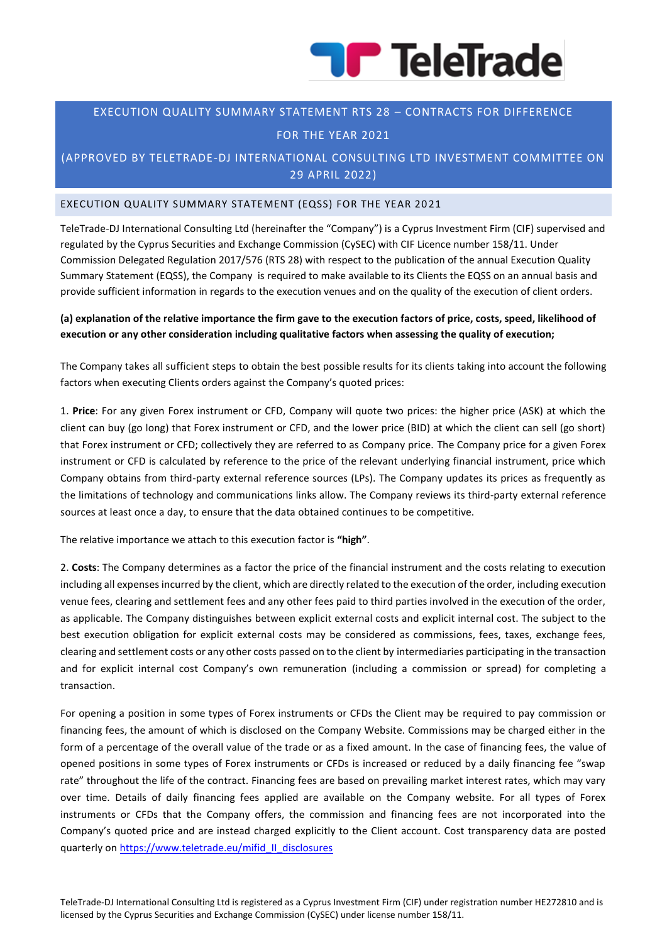

### EXECUTION QUALITY SUMMARY STATEMENT RTS 28 – CONTRACTS FOR DIFFERENCE

#### FOR THE YEAR 2021

## (APPROVED BY TELETRADE-DJ INTERNATIONAL CONSULTING LTD INVESTMENT COMMITTEE ON 29 APRIL 2022)

#### EXECUTION QUALITY SUMMARY STATEMENT (EQSS) FOR THE YEAR 20 21

TeleTrade-DJ International Consulting Ltd (hereinafter the "Company") is a Cyprus Investment Firm (CIF) supervised and regulated by the Cyprus Securities and Exchange Commission (CySEC) with CIF Licence number 158/11. Under Commission Delegated Regulation 2017/576 (RTS 28) with respect to the publication of the annual Execution Quality Summary Statement (EQSS), the Company is required to make available to its Clients the EQSS on an annual basis and provide sufficient information in regards to the execution venues and on the quality of the execution of client orders.

#### **(a) explanation of the relative importance the firm gave to the execution factors of price, costs, speed, likelihood of execution or any other consideration including qualitative factors when assessing the quality of execution;**

The Company takes all sufficient steps to obtain the best possible results for its clients taking into account the following factors when executing Clients orders against the Company's quoted prices:

1. **Price**: For any given Forex instrument or CFD, Company will quote two prices: the higher price (ASK) at which the client can buy (go long) that Forex instrument or CFD, and the lower price (BID) at which the client can sell (go short) that Forex instrument or CFD; collectively they are referred to as Company price. The Company price for a given Forex instrument or CFD is calculated by reference to the price of the relevant underlying financial instrument, price which Company obtains from third-party external reference sources (LPs). The Company updates its prices as frequently as the limitations of technology and communications links allow. The Company reviews its third-party external reference sources at least once a day, to ensure that the data obtained continues to be competitive.

The relative importance we attach to this execution factor is **"high"**.

2. **Costs**: The Company determines as a factor the price of the financial instrument and the costs relating to execution including all expenses incurred by the client, which are directly related to the execution of the order, including execution venue fees, clearing and settlement fees and any other fees paid to third parties involved in the execution of the order, as applicable. The Company distinguishes between explicit external costs and explicit internal cost. The subject to the best execution obligation for explicit external costs may be considered as commissions, fees, taxes, exchange fees, clearing and settlement costs or any other costs passed on to the client by intermediaries participating in the transaction and for explicit internal cost Company's own remuneration (including a commission or spread) for completing a transaction.

For opening a position in some types of Forex instruments or CFDs the Client may be required to pay commission or financing fees, the amount of which is disclosed on the Company Website. Commissions may be charged either in the form of a percentage of the overall value of the trade or as a fixed amount. In the case of financing fees, the value of opened positions in some types of Forex instruments or CFDs is increased or reduced by a daily financing fee "swap rate" throughout the life of the contract. Financing fees are based on prevailing market interest rates, which may vary over time. Details of daily financing fees applied are available on the Company website. For all types of Forex instruments or CFDs that the Company offers, the commission and financing fees are not incorporated into the Company's quoted price and are instead charged explicitly to the Client account. Cost transparency data are posted quarterly on [https://www.teletrade.eu/mifid\\_II\\_disclosures](https://www.teletrade.eu/mifid_II_disclosures)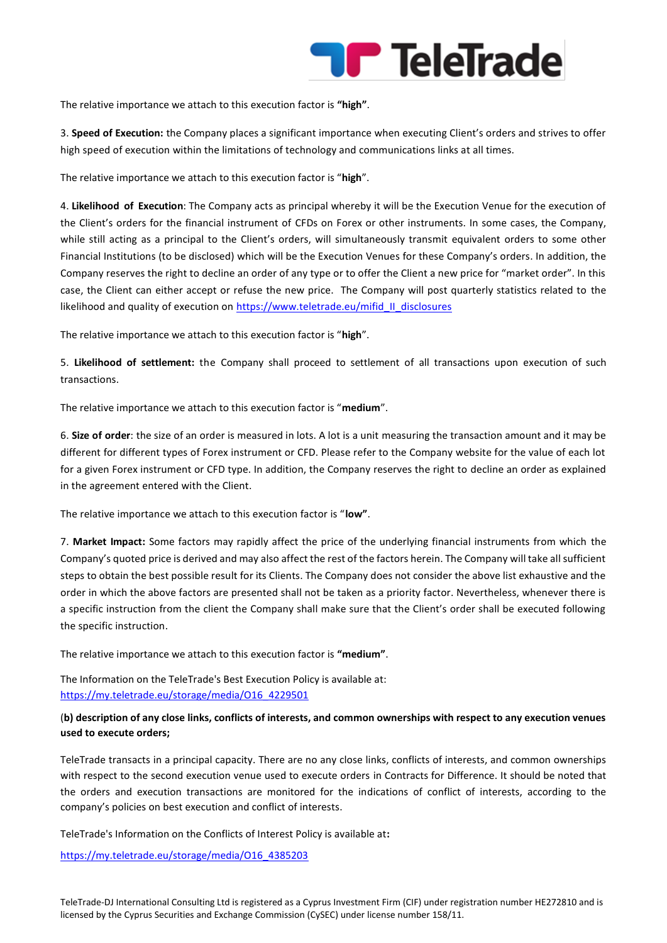

The relative importance we attach to this execution factor is **"high"**.

3. **Speed of Execution:** the Company places a significant importance when executing Client's orders and strives to offer high speed of execution within the limitations of technology and communications links at all times.

The relative importance we attach to this execution factor is "**high**".

4. **Likelihood of Execution**: The Company acts as principal whereby it will be the Execution Venue for the execution of the Client's orders for the financial instrument of CFDs on Forex or other instruments. In some cases, the Company, while still acting as a principal to the Client's orders, will simultaneously transmit equivalent orders to some other Financial Institutions (to be disclosed) which will be the Execution Venues for these Company's orders. In addition, the Company reserves the right to decline an order of any type or to offer the Client a new price for "market order". In this case, the Client can either accept or refuse the new price. The Company will post quarterly statistics related to the likelihood and quality of execution on [https://www.teletrade.eu/mifid\\_II\\_disclosures](https://www.teletrade.eu/mifid_II_disclosures)

The relative importance we attach to this execution factor is "**high**".

5. **Likelihood of settlement:** the Company shall proceed to settlement of all transactions upon execution of such transactions.

The relative importance we attach to this execution factor is "**medium**".

6. **Size of order**: the size of an order is measured in lots. A lot is a unit measuring the transaction amount and it may be different for different types of Forex instrument or CFD. Please refer to the Company website for the value of each lot for a given Forex instrument or CFD type. In addition, the Company reserves the right to decline an order as explained in the agreement entered with the Client.

The relative importance we attach to this execution factor is "**low"**.

7. **Market Impact:** Some factors may rapidly affect the price of the underlying financial instruments from which the Company's quoted price is derived and may also affect the rest of the factors herein. The Company will take all sufficient steps to obtain the best possible result for its Clients. The Company does not consider the above list exhaustive and the order in which the above factors are presented shall not be taken as a priority factor. Nevertheless, whenever there is a specific instruction from the client the Company shall make sure that the Client's order shall be executed following the specific instruction.

The relative importance we attach to this execution factor is **"medium"**.

The Information on the TeleTrade's Best Execution Policy is available at: [https://my.teletrade.eu/storage/media/O16\\_4229501](https://my.teletrade.eu/storage/media/O16_4229501)

#### (**b) description of any close links, conflicts of interests, and common ownerships with respect to any execution venues used to execute orders;**

TeleTrade transacts in a principal capacity. There are no any close links, conflicts of interests, and common ownerships with respect to the second execution venue used to execute orders in Contracts for Difference. It should be noted that the orders and execution transactions are monitored for the indications of conflict of interests, according to the company's policies on best execution and conflict of interests.

TeleTrade's Information on the Conflicts of Interest Policy is available at**:**

[https://my.teletrade.eu/storage/media/O16\\_4385203](https://my.teletrade.eu/storage/media/O16_4385203)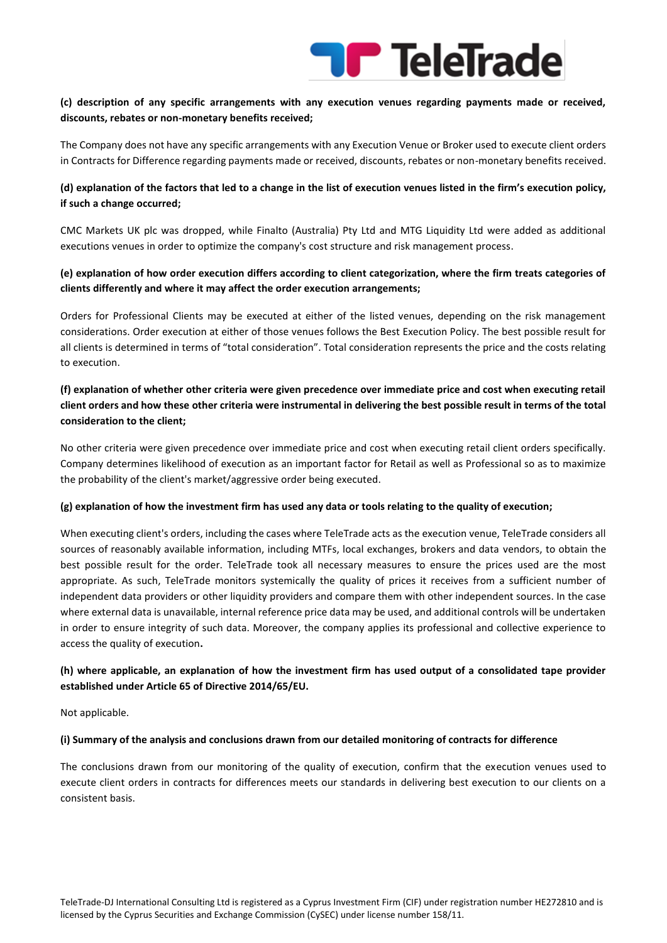# **Transferact Telefinade**

#### **(c) description of any specific arrangements with any execution venues regarding payments made or received, discounts, rebates or non-monetary benefits received;**

The Company does not have any specific arrangements with any Execution Venue or Broker used to execute client orders in Contracts for Difference regarding payments made or received, discounts, rebates or non-monetary benefits received.

### **(d) explanation of the factors that led to a change in the list of execution venues listed in the firm's execution policy, if such a change occurred;**

CMC Markets UK plc was dropped, while Finalto (Australia) Pty Ltd and MTG Liquidity Ltd were added as additional executions venues in order to optimize the company's cost structure and risk management process.

### **(e) explanation of how order execution differs according to client categorization, where the firm treats categories of clients differently and where it may affect the order execution arrangements;**

Orders for Professional Clients may be executed at either of the listed venues, depending on the risk management considerations. Order execution at either of those venues follows the Best Execution Policy. The best possible result for all clients is determined in terms of "total consideration". Total consideration represents the price and the costs relating to execution.

## **(f) explanation of whether other criteria were given precedence over immediate price and cost when executing retail client orders and how these other criteria were instrumental in delivering the best possible result in terms of the total consideration to the client;**

No other criteria were given precedence over immediate price and cost when executing retail client orders specifically. Company determines likelihood of execution as an important factor for Retail as well as Professional so as to maximize the probability of the client's market/aggressive order being executed.

#### **(g) explanation of how the investment firm has used any data or tools relating to the quality of execution;**

When executing client's orders, including the cases where TeleTrade acts as the execution venue, TeleTrade considers all sources of reasonably available information, including MTFs, local exchanges, brokers and data vendors, to obtain the best possible result for the order. TeleTrade took all necessary measures to ensure the prices used are the most appropriate. As such, TeleTrade monitors systemically the quality of prices it receives from a sufficient number of independent data providers or other liquidity providers and compare them with other independent sources. In the case where external data is unavailable, internal reference price data may be used, and additional controls will be undertaken in order to ensure integrity of such data. Moreover, the company applies its professional and collective experience to access the quality of execution**.**

#### **(h) where applicable, an explanation of how the investment firm has used output of a consolidated tape provider established under Article 65 of Directive 2014/65/EU.**

Not applicable.

#### **(i) Summary of the analysis and conclusions drawn from our detailed monitoring of contracts for difference**

The conclusions drawn from our monitoring of the quality of execution, confirm that the execution venues used to execute client orders in contracts for differences meets our standards in delivering best execution to our clients on a consistent basis.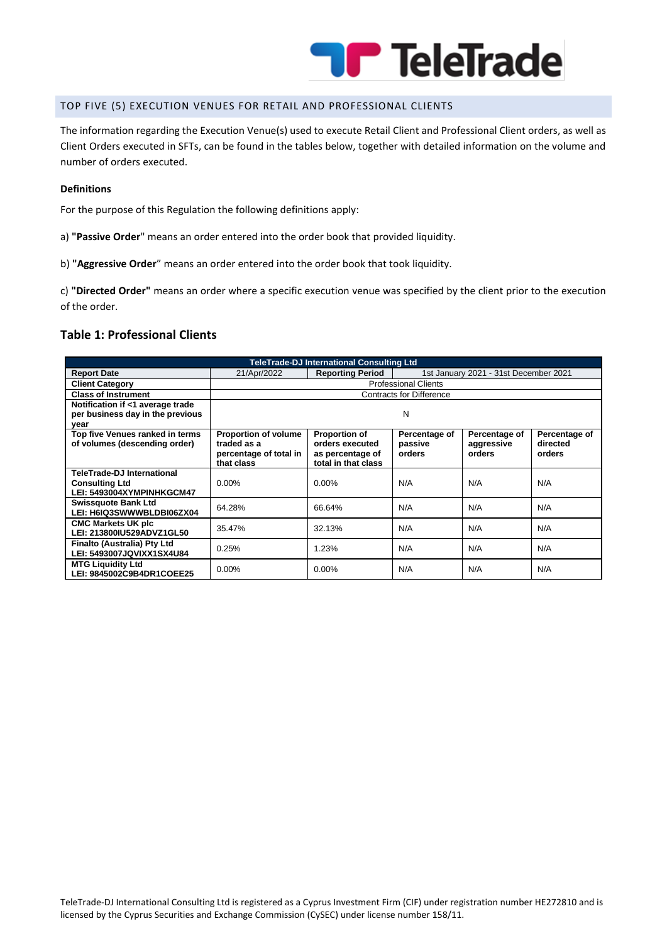

#### TOP FIVE (5) EXECUTION VENUES FOR RETAIL AND PROFESSIONAL CLIENTS

The information regarding the Execution Venue(s) used to execute Retail Client and Professional Client orders, as well as Client Orders executed in SFTs, can be found in the tables below, together with detailed information on the volume and number of orders executed.

#### **Definitions**

For the purpose of this Regulation the following definitions apply:

- a) **"Passive Order**" means an order entered into the order book that provided liquidity.
- b) **"Aggressive Order**" means an order entered into the order book that took liquidity.

c) **"Directed Order"** means an order where a specific execution venue was specified by the client prior to the execution of the order.

### **Table 1: Professional Clients**

| <b>TeleTrade-DJ International Consulting Ltd</b>                                        |                                                                                    |                                                                                    |                                       |                                       |                                     |  |  |  |
|-----------------------------------------------------------------------------------------|------------------------------------------------------------------------------------|------------------------------------------------------------------------------------|---------------------------------------|---------------------------------------|-------------------------------------|--|--|--|
| <b>Report Date</b>                                                                      | 21/Apr/2022                                                                        | <b>Reporting Period</b>                                                            | 1st January 2021 - 31st December 2021 |                                       |                                     |  |  |  |
| <b>Client Category</b>                                                                  | <b>Professional Clients</b>                                                        |                                                                                    |                                       |                                       |                                     |  |  |  |
| <b>Class of Instrument</b>                                                              | <b>Contracts for Difference</b>                                                    |                                                                                    |                                       |                                       |                                     |  |  |  |
| Notification if <1 average trade<br>per business day in the previous<br>year            | N                                                                                  |                                                                                    |                                       |                                       |                                     |  |  |  |
| Top five Venues ranked in terms<br>of volumes (descending order)                        | <b>Proportion of volume</b><br>traded as a<br>percentage of total in<br>that class | <b>Proportion of</b><br>orders executed<br>as percentage of<br>total in that class | Percentage of<br>passive<br>orders    | Percentage of<br>aggressive<br>orders | Percentage of<br>directed<br>orders |  |  |  |
| <b>TeleTrade-DJ International</b><br><b>Consulting Ltd</b><br>LEI: 5493004XYMPINHKGCM47 | $0.00\%$                                                                           | $0.00\%$                                                                           | N/A                                   | N/A                                   | N/A                                 |  |  |  |
| <b>Swissquote Bank Ltd</b><br>LEI: H6IQ3SWWWBLDBI06ZX04                                 | 64.28%                                                                             | 66.64%                                                                             | N/A                                   | N/A                                   | N/A                                 |  |  |  |
| <b>CMC Markets UK plc</b><br>LEI: 213800IU529ADVZ1GL50                                  | 35.47%                                                                             | 32.13%                                                                             | N/A                                   | N/A                                   | N/A                                 |  |  |  |
| Finalto (Australia) Pty Ltd<br>LEI: 5493007JQVIXX1SX4U84                                | 0.25%                                                                              | 1.23%                                                                              | N/A                                   | N/A                                   | N/A                                 |  |  |  |
| <b>MTG Liquidity Ltd</b><br>LEI: 9845002C9B4DR1COEE25                                   | $0.00\%$                                                                           | $0.00\%$                                                                           | N/A                                   | N/A                                   | N/A                                 |  |  |  |